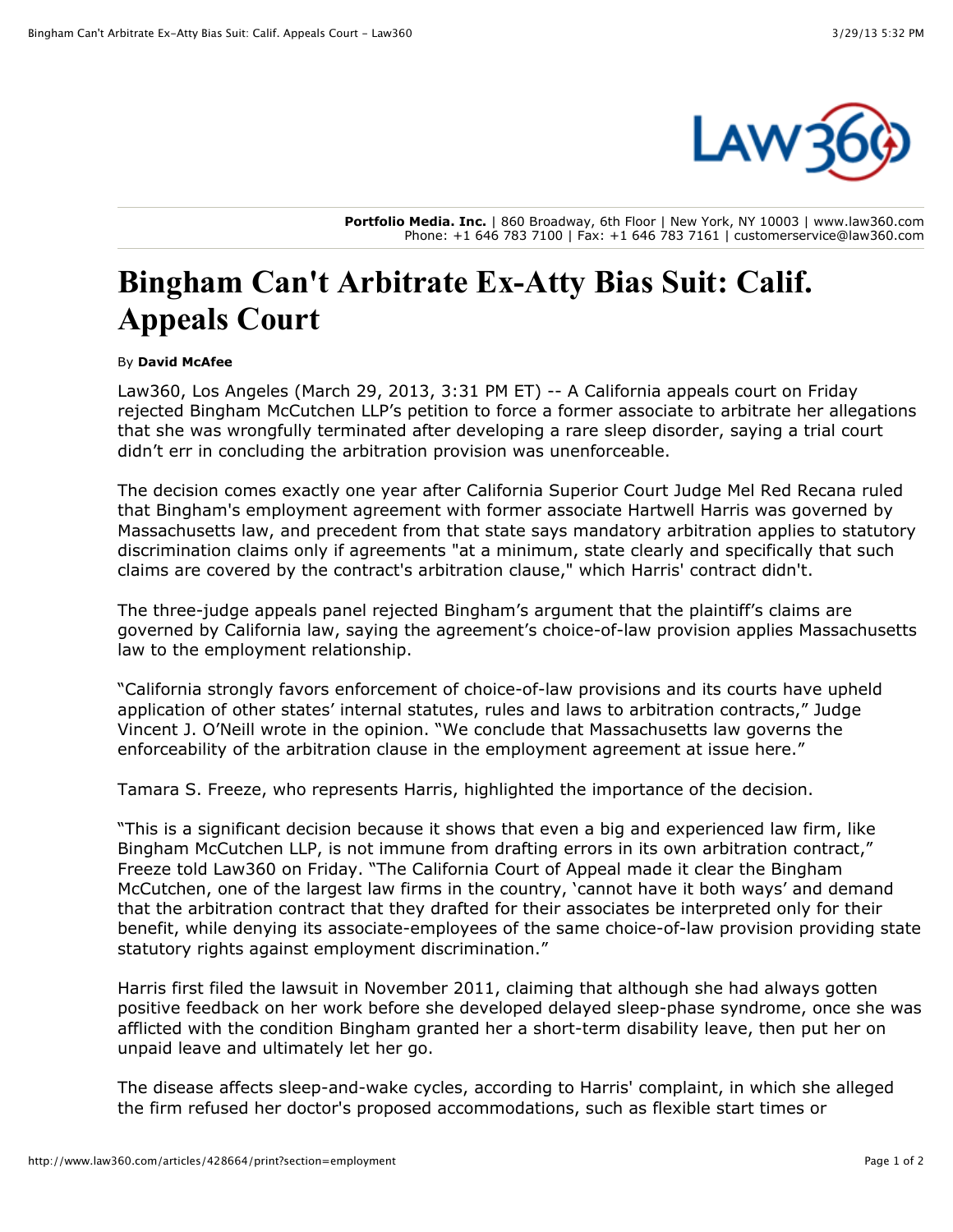

**Portfolio Media. Inc.** | 860 Broadway, 6th Floor | New York, NY 10003 | www.law360.com Phone: +1 646 783 7100 | Fax: +1 646 783 7161 | customerservice@law360.com

## **Bingham Can't Arbitrate Ex-Atty Bias Suit: Calif. Appeals Court**

## By **David McAfee**

Law360, Los Angeles (March 29, 2013, 3:31 PM ET) -- A California appeals court on Friday rejected [Bingham McCutchen LLP's](http://www.law360.com/firm/bingham-mccutchen) petition to force a former associate to arbitrate her allegations that she was wrongfully terminated after developing a rare sleep disorder, saying a trial court didn't err in concluding the arbitration provision was unenforceable.

The decision comes exactly one year after California Superior Court Judge Mel Red Recana ruled that Bingham's employment agreement with former associate Hartwell Harris was governed by Massachusetts law, and precedent from that state says mandatory arbitration applies to statutory discrimination claims only if agreements "at a minimum, state clearly and specifically that such claims are covered by the contract's arbitration clause," which Harris' contract didn't.

The three-judge appeals panel rejected Bingham's argument that the plaintiff's claims are governed by California law, saying the agreement's choice-of-law provision applies Massachusetts law to the employment relationship.

"California strongly favors enforcement of choice-of-law provisions and its courts have upheld application of other states' internal statutes, rules and laws to arbitration contracts," Judge Vincent J. O'Neill wrote in the opinion. "We conclude that Massachusetts law governs the enforceability of the arbitration clause in the employment agreement at issue here."

Tamara S. Freeze, who represents Harris, highlighted the importance of the decision.

"This is a significant decision because it shows that even a big and experienced law firm, like Bingham McCutchen LLP, is not immune from drafting errors in its own arbitration contract," Freeze told Law360 on Friday. "The California Court of Appeal made it clear the Bingham McCutchen, one of the largest law firms in the country, 'cannot have it both ways' and demand that the arbitration contract that they drafted for their associates be interpreted only for their benefit, while denying its associate-employees of the same choice-of-law provision providing state statutory rights against employment discrimination."

Harris first filed the lawsuit in November 2011, claiming that although she had always gotten positive feedback on her work before she developed delayed sleep-phase syndrome, once she was afflicted with the condition Bingham granted her a short-term disability leave, then put her on unpaid leave and ultimately let her go.

The disease affects sleep-and-wake cycles, according to Harris' complaint, in which she alleged the firm refused her doctor's proposed accommodations, such as flexible start times or